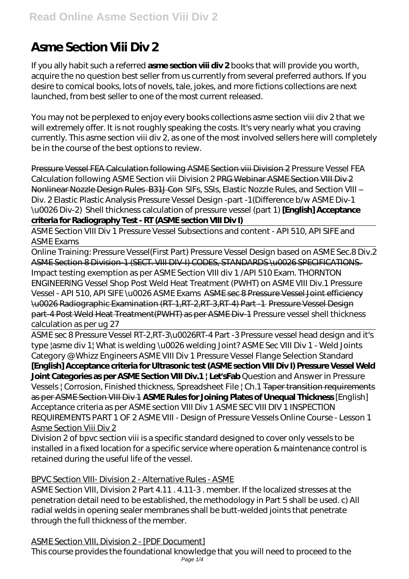# **Asme Section Viii Div 2**

If you ally habit such a referred **asme section viii div 2** books that will provide you worth, acquire the no question best seller from us currently from several preferred authors. If you desire to comical books, lots of novels, tale, jokes, and more fictions collections are next launched, from best seller to one of the most current released.

You may not be perplexed to enjoy every books collections asme section viii div 2 that we will extremely offer. It is not roughly speaking the costs. It's very nearly what you craving currently. This asme section viii div 2, as one of the most involved sellers here will completely be in the course of the best options to review.

Pressure Vessel FEA Calculation following ASME Section viii Division 2 Pressure Vessel FEA Calculation following ASME Section viii Division 2 PRG Webinar ASME Section VIII Div 2 Nonlinear Nozzle Design Rules B31J Con *SIFs, SSIs, Elastic Nozzle Rules, and Section VIII – Div. 2 Elastic Plastic Analysis Pressure Vessel Design -part -1(Difference b/w ASME Div-1 \u0026 Div-2)* Shell thickness calculation of pressure vessel (part 1) **[English] Acceptance criteria for Radiography Test - RT (ASME section VIII Div I)**

ASME Section VIII Div 1 Pressure Vessel Subsections and content - API 510, API SIFE and ASME Exams

Online Training: Pressure Vessel*(First Part) Pressure Vessel Design based on ASME Sec.8 Div.2* ASME Section 8 Division-1 (SECT. VIII DIV-I) CODES, STANDARDS \u0026 SPECIFICATIONS. Impact testing exemption as per ASME Section VIII div 1 /API 510 Exam. *THORNTON ENGINEERING Vessel Shop Post Weld Heat Treatment (PWHT) on ASME VIII Div.1 Pressure Vessel - API 510, API SIFE \u0026 ASME Exams* ASME sec 8 Pressure Vessel Joint efficiency \u0026 Radiographic Examination (RT-1,RT-2,RT-3,RT-4) Part -1 Pressure Vessel Design part-4 Post Weld Heat Treatment(PWHT) as per ASME Div-1 Pressure vessel shell thickness calculation as per ug 27

ASME sec 8 Pressure Vessel RT-2,RT-3\u0026RT-4 Part -3 *Pressure vessel head design and it's type |asme div 1| What is welding \u0026 welding Joint? ASME Sec VIII Div 1 - Weld Joints Category @ Whizz Engineers ASME VIII Div 1 Pressure Vessel Flange Selection Standard* **[English] Acceptance criteria for Ultrasonic test (ASME section VIII Div I) Pressure Vessel Weld**

Joint Categories as per ASME Section VIII Div.1 | Let'sFab Question and Answer in Pressure Vessels | Corrosion, Finished thickness, Spreadsheet File | Ch.1 Taper transition requirements as per ASME Section VIII Div 1 **ASME Rules for Joining Plates of Unequal Thickness** *[English] Acceptance criteria as per ASME section VIII Div 1 ASME SEC VIII DIV 1 INSPECTION REQUIREMENTS PART 1 OF 2 ASME VIII - Design of Pressure Vessels Online Course - Lesson 1* Asme Section Viii Div 2

Division 2 of bpvc section viii is a specific standard designed to cover only vessels to be installed in a fixed location for a specific service where operation & maintenance control is retained during the useful life of the vessel.

# BPVC Section VIII- Division 2 - Alternative Rules - ASME

ASME Section VIII, Division 2 Part 4.11 . 4.11-3 . member. If the localized stresses at the penetration detail need to be established, the methodology in Part 5 shall be used. c) All radial welds in opening sealer membranes shall be butt-welded joints that penetrate through the full thickness of the member.

ASME Section VIII, Division 2 - [PDF Document] This course provides the foundational knowledge that you will need to proceed to the Page 1/4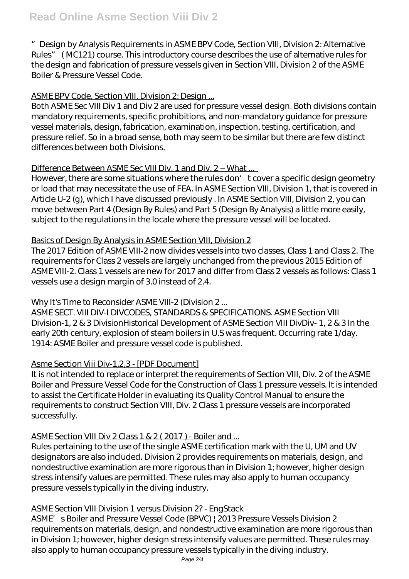"Design by Analysis Requirements in ASME BPV Code, Section VIII, Division 2: Alternative Rules" ( MC121) course. This introductory course describes the use of alternative rules for the design and fabrication of pressure vessels given in Section VIII, Division 2 of the ASME Boiler & Pressure Vessel Code.

## ASME BPV Code, Section VIII, Division 2: Design ...

Both ASME Sec VIII Div 1 and Div 2 are used for pressure vessel design. Both divisions contain mandatory requirements, specific prohibitions, and non-mandatory guidance for pressure vessel materials, design, fabrication, examination, inspection, testing, certification, and pressure relief. So in a broad sense, both may seem to be similar but there are few distinct differences between both Divisions.

## Difference Between ASME Sec VIII Div. 1 and Div. 2 – What ...

However, there are some situations where the rules don' t cover a specific design geometry or load that may necessitate the use of FEA. In ASME Section VIII, Division 1, that is covered in Article U-2 (g), which I have discussed previously . In ASME Section VIII, Division 2, you can move between Part 4 (Design By Rules) and Part 5 (Design By Analysis) a little more easily, subject to the regulations in the locale where the pressure vessel will be located.

## Basics of Design By Analysis in ASME Section VIII, Division 2

The 2017 Edition of ASME VIII-2 now divides vessels into two classes, Class 1 and Class 2. The requirements for Class 2 vessels are largely unchanged from the previous 2015 Edition of ASME VIII-2. Class 1 vessels are new for 2017 and differ from Class 2 vessels as follows: Class 1 vessels use a design margin of 3.0 instead of 2.4.

# Why It's Time to Reconsider ASME VIII-2 (Division 2 ...

ASME SECT. VIII DIV-I DIVCODES, STANDARDS & SPECIFICATIONS. ASME Section VIII Division-1, 2 & 3 DivisionHistorical Development of ASME Section VIII DivDiv- 1, 2 & 3 In the early 20th century, explosion of steam boilers in U.S was frequent. Occurring rate 1/day. 1914: ASME Boiler and pressure vessel code is published.

# Asme Section Viii Div-1,2,3 - [PDF Document]

It is not intended to replace or interpret the requirements of Section VIII, Div. 2 of the ASME Boiler and Pressure Vessel Code for the Construction of Class 1 pressure vessels. It is intended to assist the Certificate Holder in evaluating its Quality Control Manual to ensure the requirements to construct Section VIII, Div. 2 Class 1 pressure vessels are incorporated successfully.

#### ASME Section VIII Div 2 Class 1 & 2 ( 2017 ) - Boiler and ...

Rules pertaining to the use of the single ASME certification mark with the U, UM and UV designators are also included. Division 2 provides requirements on materials, design, and nondestructive examination are more rigorous than in Division 1; however, higher design stress intensify values are permitted. These rules may also apply to human occupancy pressure vessels typically in the diving industry.

#### ASME Section VIII Division 1 versus Division 2? - EngStack

ASME' s Boiler and Pressure Vessel Code (BPVC) | 2013 Pressure Vessels Division 2 requirements on materials, design, and nondestructive examination are more rigorous than in Division 1; however, higher design stress intensify values are permitted. These rules may also apply to human occupancy pressure vessels typically in the diving industry.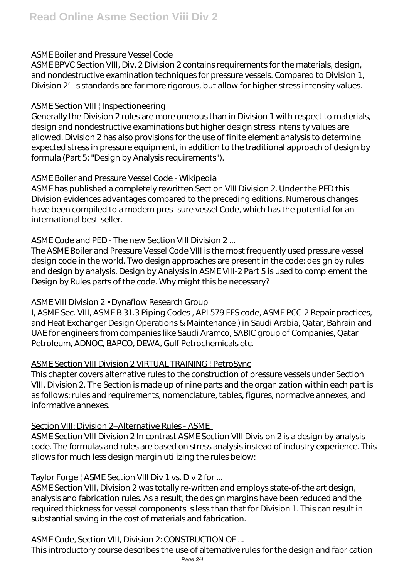# ASME Boiler and Pressure Vessel Code

ASME BPVC Section VIII, Div. 2 Division 2 contains requirements for the materials, design, and nondestructive examination techniques for pressure vessels. Compared to Division 1, Division 2's standards are far more rigorous, but allow for higher stress intensity values.

#### **ASME Section VIII | Inspectioneering**

Generally the Division 2 rules are more onerous than in Division 1 with respect to materials, design and nondestructive examinations but higher design stress intensity values are allowed. Division 2 has also provisions for the use of finite element analysis to determine expected stress in pressure equipment, in addition to the traditional approach of design by formula (Part 5: "Design by Analysis requirements").

## ASME Boiler and Pressure Vessel Code - Wikipedia

ASME has published a completely rewritten Section VIII Division 2. Under the PED this Division evidences advantages compared to the preceding editions. Numerous changes have been compiled to a modern pres- sure vessel Code, which has the potential for an international best-seller.

## ASME Code and PED - The new Section VIII Division 2 ...

The ASME Boiler and Pressure Vessel Code VIII is the most frequently used pressure vessel design code in the world. Two design approaches are present in the code: design by rules and design by analysis. Design by Analysis in ASME VIII-2 Part 5 is used to complement the Design by Rules parts of the code. Why might this be necessary?

#### ASME VIII Division 2 • Dynaflow Research Group

I, ASME Sec. VIII, ASME B 31.3 Piping Codes , API 579 FFS code, ASME PCC-2 Repair practices, and Heat Exchanger Design Operations & Maintenance ) in Saudi Arabia, Qatar, Bahrain and UAE for engineers from companies like Saudi Aramco, SABIC group of Companies, Qatar Petroleum, ADNOC, BAPCO, DEWA, Gulf Petrochemicals etc.

# ASME Section VIII Division 2 VIRTUAL TRAINING | PetroSync

This chapter covers alternative rules to the construction of pressure vessels under Section VIII, Division 2. The Section is made up of nine parts and the organization within each part is as follows: rules and requirements, nomenclature, tables, figures, normative annexes, and informative annexes.

#### Section VIII: Division 2–Alternative Rules - ASME

ASME Section VIII Division 2 In contrast ASME Section VIII Division 2 is a design by analysis code. The formulas and rules are based on stress analysis instead of industry experience. This allows for much less design margin utilizing the rules below:

## Taylor Forge | ASME Section VIII Div 1 vs. Div 2 for ...

ASME Section VIII, Division 2 was totally re-written and employs state-of-the art design, analysis and fabrication rules. As a result, the design margins have been reduced and the required thickness for vessel components is less than that for Division 1. This can result in substantial saving in the cost of materials and fabrication.

# ASME Code, Section VIII, Division 2: CONSTRUCTION OF ...

This introductory course describes the use of alternative rules for the design and fabrication